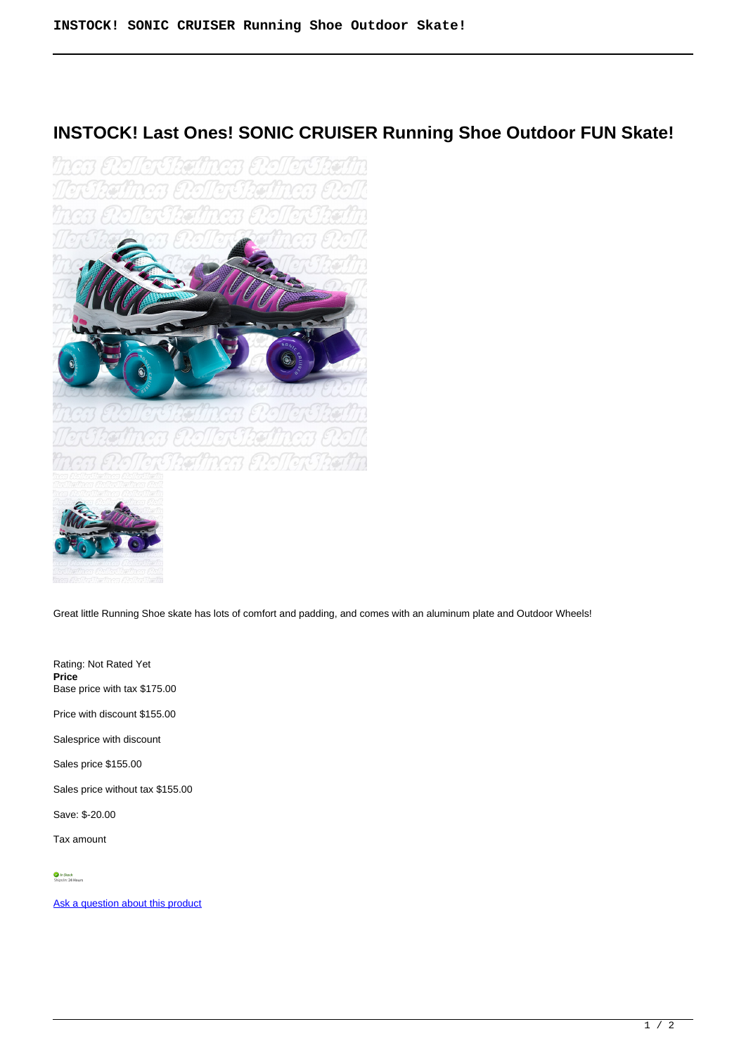## **INSTOCK! Last Ones! SONIC CRUISER Running Shoe Outdoor FUN Skate!**





Great little Running Shoe skate has lots of comfort and padding, and comes with an aluminum plate and Outdoor Wheels!

Rating: Not Rated Yet **Price**  Base price with tax \$175.00

Price with discount \$155.00

Salesprice with discount

Sales price \$155.00

Sales price without tax \$155.00

Save: \$-20.00

Tax amount

[Ask a question about this product](https://rollerskatin.ca/index.php?option=com_virtuemart&view=productdetails&task=askquestion&virtuemart_product_id=1063&virtuemart_category_id=28&tmpl=component)